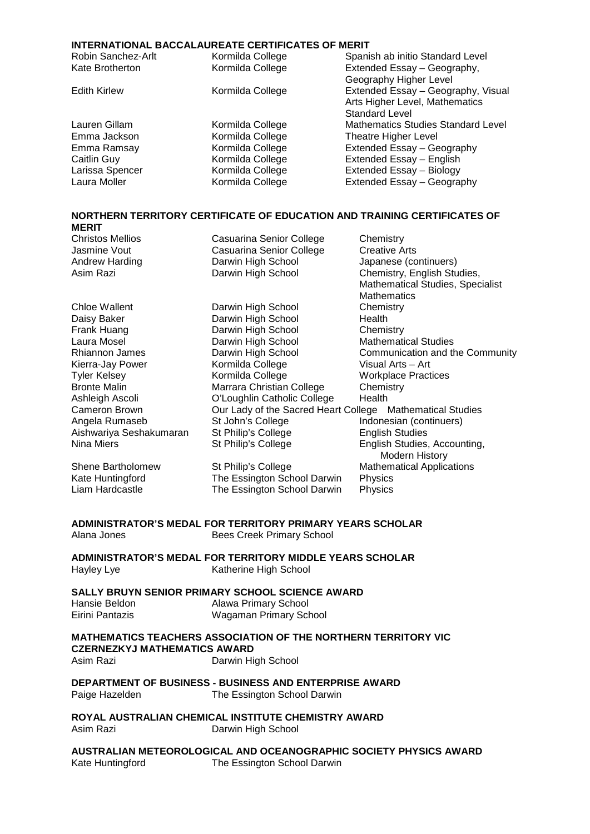#### **INTERNATIONAL BACCALAUREATE CERTIFICATES OF MERIT**

| Robin Sanchez-Arlt  | Kormilda College | Spanish ab initio Standard Level          |
|---------------------|------------------|-------------------------------------------|
| Kate Brotherton     | Kormilda College | Extended Essay - Geography,               |
|                     |                  | Geography Higher Level                    |
| <b>Edith Kirlew</b> | Kormilda College | Extended Essay - Geography, Visual        |
|                     |                  | Arts Higher Level, Mathematics            |
|                     |                  | <b>Standard Level</b>                     |
| Lauren Gillam       | Kormilda College | <b>Mathematics Studies Standard Level</b> |
| Emma Jackson        | Kormilda College | <b>Theatre Higher Level</b>               |
| Emma Ramsay         | Kormilda College | Extended Essay - Geography                |
| Caitlin Guy         | Kormilda College | Extended Essay - English                  |
| Larissa Spencer     | Kormilda College | Extended Essay - Biology                  |
| Laura Moller        | Kormilda College | Extended Essay - Geography                |
|                     |                  |                                           |

#### **NORTHERN TERRITORY CERTIFICATE OF EDUCATION AND TRAINING CERTIFICATES OF MERIT**

| <b>Christos Mellios</b> | Casuarina Senior College                                  | Chemistry                               |
|-------------------------|-----------------------------------------------------------|-----------------------------------------|
| Jasmine Vout            | Casuarina Senior College                                  | <b>Creative Arts</b>                    |
| Andrew Harding          | Darwin High School                                        | Japanese (continuers)                   |
| Asim Razi               | Darwin High School                                        | Chemistry, English Studies,             |
|                         |                                                           | <b>Mathematical Studies, Specialist</b> |
|                         |                                                           | Mathematics                             |
| Chloe Wallent           | Darwin High School                                        | Chemistry                               |
| Daisy Baker             | Darwin High School                                        | Health                                  |
| Frank Huang             | Darwin High School                                        | Chemistry                               |
| Laura Mosel             | Darwin High School                                        | <b>Mathematical Studies</b>             |
| Rhiannon James          | Darwin High School                                        | Communication and the Community         |
| Kierra-Jay Power        | Kormilda College                                          | Visual Arts - Art                       |
| <b>Tyler Kelsey</b>     | Kormilda College                                          | <b>Workplace Practices</b>              |
| <b>Bronte Malin</b>     | Marrara Christian College                                 | Chemistry                               |
| Ashleigh Ascoli         | O'Loughlin Catholic College                               | Health                                  |
| Cameron Brown           | Our Lady of the Sacred Heart College Mathematical Studies |                                         |
| Angela Rumaseb          | St John's College                                         | Indonesian (continuers)                 |
| Aishwariya Seshakumaran | St Philip's College                                       | <b>English Studies</b>                  |
| Nina Miers              | St Philip's College                                       | English Studies, Accounting,            |
|                         |                                                           | Modern History                          |
| Shene Bartholomew       | St Philip's College                                       | <b>Mathematical Applications</b>        |
| Kate Huntingford        | The Essington School Darwin                               | Physics                                 |
| Liam Hardcastle         | The Essington School Darwin                               | Physics                                 |
|                         |                                                           |                                         |

**ADMINISTRATOR'S MEDAL FOR TERRITORY PRIMARY YEARS SCHOLAR** Bees Creek Primary School

**ADMINISTRATOR'S MEDAL FOR TERRITORY MIDDLE YEARS SCHOLAR**<br>Katherine High School Katherine High School

#### **SALLY BRUYN SENIOR PRIMARY SCHOOL SCIENCE AWARD**

| Hansie Beldon   | Alawa Primary School   |
|-----------------|------------------------|
| Eirini Pantazis | Wagaman Primary School |

**MATHEMATICS TEACHERS ASSOCIATION OF THE NORTHERN TERRITORY VIC CZERNEZKYJ MATHEMATICS AWARD** 

Darwin High School

## **DEPARTMENT OF BUSINESS - BUSINESS AND ENTERPRISE AWARD**<br>Paige Hazelden **The Essington School Darwin** The Essington School Darwin

**ROYAL AUSTRALIAN CHEMICAL INSTITUTE CHEMISTRY AWARD** Darwin High School

**AUSTRALIAN METEOROLOGICAL AND OCEANOGRAPHIC SOCIETY PHYSICS AWARD**<br>Kate Huntingford **The Essington School Darwin** The Essington School Darwin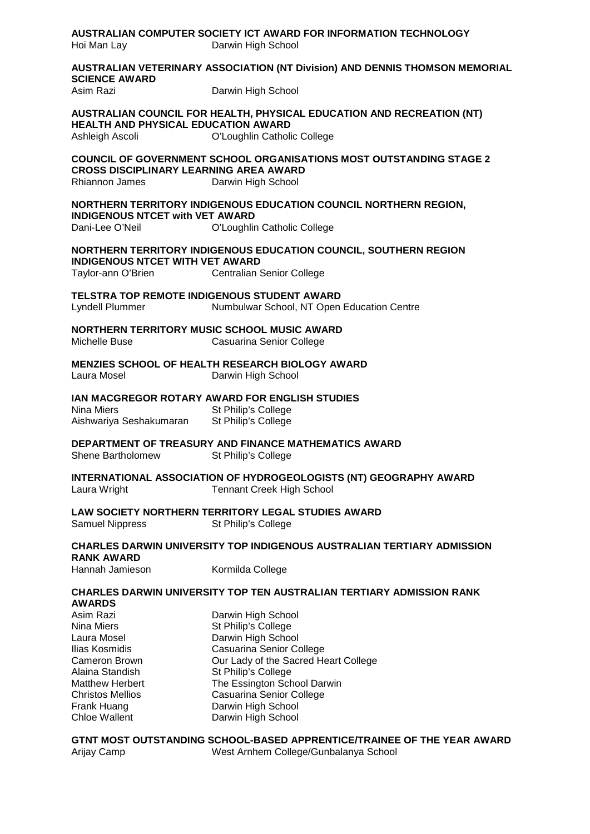| Hoi Man Lay                                                                                                                                                                              | AUSTRALIAN COMPUTER SOCIETY ICT AWARD FOR INFORMATION TECHNOLOGY<br>Darwin High School                                                                                                                                                                            |  |
|------------------------------------------------------------------------------------------------------------------------------------------------------------------------------------------|-------------------------------------------------------------------------------------------------------------------------------------------------------------------------------------------------------------------------------------------------------------------|--|
| <b>SCIENCE AWARD</b><br>Asim Razi                                                                                                                                                        | AUSTRALIAN VETERINARY ASSOCIATION (NT Division) AND DENNIS THOMSON MEMORIAL<br>Darwin High School                                                                                                                                                                 |  |
| <b>HEALTH AND PHYSICAL EDUCATION AWARD</b><br>Ashleigh Ascoli                                                                                                                            | AUSTRALIAN COUNCIL FOR HEALTH, PHYSICAL EDUCATION AND RECREATION (NT)<br>O'Loughlin Catholic College                                                                                                                                                              |  |
| <b>CROSS DISCIPLINARY LEARNING AREA AWARD</b><br>Rhiannon James                                                                                                                          | <b>COUNCIL OF GOVERNMENT SCHOOL ORGANISATIONS MOST OUTSTANDING STAGE 2</b><br>Darwin High School                                                                                                                                                                  |  |
| <b>INDIGENOUS NTCET with VET AWARD</b><br>Dani-Lee O'Neil                                                                                                                                | NORTHERN TERRITORY INDIGENOUS EDUCATION COUNCIL NORTHERN REGION,<br>O'Loughlin Catholic College                                                                                                                                                                   |  |
| <b>INDIGENOUS NTCET WITH VET AWARD</b><br>Taylor-ann O'Brien                                                                                                                             | NORTHERN TERRITORY INDIGENOUS EDUCATION COUNCIL, SOUTHERN REGION<br><b>Centralian Senior College</b>                                                                                                                                                              |  |
| TELSTRA TOP REMOTE INDIGENOUS STUDENT AWARD<br>Lyndell Plummer                                                                                                                           | Numbulwar School, NT Open Education Centre                                                                                                                                                                                                                        |  |
| NORTHERN TERRITORY MUSIC SCHOOL MUSIC AWARD<br>Michelle Buse                                                                                                                             | Casuarina Senior College                                                                                                                                                                                                                                          |  |
| Laura Mosel                                                                                                                                                                              | MENZIES SCHOOL OF HEALTH RESEARCH BIOLOGY AWARD<br>Darwin High School                                                                                                                                                                                             |  |
| Nina Miers<br>Aishwariya Seshakumaran                                                                                                                                                    | IAN MACGREGOR ROTARY AWARD FOR ENGLISH STUDIES<br>St Philip's College<br>St Philip's College                                                                                                                                                                      |  |
| Shene Bartholomew                                                                                                                                                                        | DEPARTMENT OF TREASURY AND FINANCE MATHEMATICS AWARD<br>St Philip's College                                                                                                                                                                                       |  |
| Laura Wright                                                                                                                                                                             | INTERNATIONAL ASSOCIATION OF HYDROGEOLOGISTS (NT) GEOGRAPHY AWARD<br><b>Tennant Creek High School</b>                                                                                                                                                             |  |
| Samuel Nippress                                                                                                                                                                          | <b>LAW SOCIETY NORTHERN TERRITORY LEGAL STUDIES AWARD</b><br>St Philip's College                                                                                                                                                                                  |  |
| <b>CHARLES DARWIN UNIVERSITY TOP INDIGENOUS AUSTRALIAN TERTIARY ADMISSION</b><br><b>RANK AWARD</b>                                                                                       |                                                                                                                                                                                                                                                                   |  |
| Hannah Jamieson                                                                                                                                                                          | Kormilda College                                                                                                                                                                                                                                                  |  |
| <b>AWARDS</b>                                                                                                                                                                            | <b>CHARLES DARWIN UNIVERSITY TOP TEN AUSTRALIAN TERTIARY ADMISSION RANK</b>                                                                                                                                                                                       |  |
| Asim Razi<br>Nina Miers<br>Laura Mosel<br>Ilias Kosmidis<br>Cameron Brown<br>Alaina Standish<br><b>Matthew Herbert</b><br><b>Christos Mellios</b><br>Frank Huang<br><b>Chloe Wallent</b> | Darwin High School<br>St Philip's College<br>Darwin High School<br>Casuarina Senior College<br>Our Lady of the Sacred Heart College<br>St Philip's College<br>The Essington School Darwin<br>Casuarina Senior College<br>Darwin High School<br>Darwin High School |  |
| Arijay Camp                                                                                                                                                                              | GTNT MOST OUTSTANDING SCHOOL-BASED APPRENTICE/TRAINEE OF THE YEAR AWARD<br>West Arnhem College/Gunbalanya School                                                                                                                                                  |  |